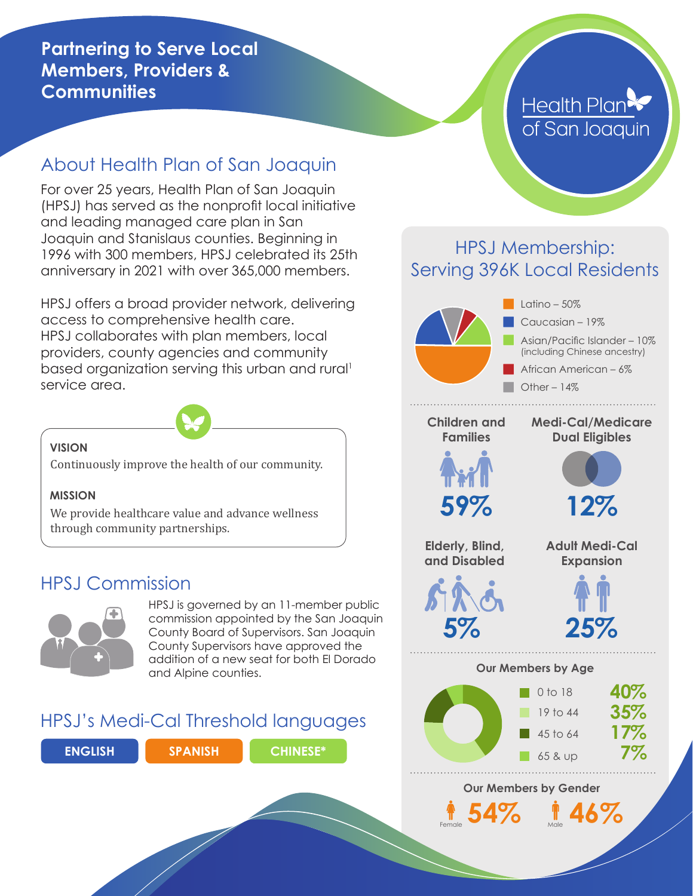#### **Partnering to Serve Local Members, Providers & Communities**

## About Health Plan of San Joaquin

For over 25 years, Health Plan of San Joaquin (HPSJ) has served as the nonprofit local initiative and leading managed care plan in San Joaquin and Stanislaus counties. Beginning in 1996 with 300 members, HPSJ celebrated its 25th anniversary in 2021 with over 365,000 members.

HPSJ offers a broad provider network, delivering access to comprehensive health care. HPSJ collaborates with plan members, local providers, county agencies and community based organization serving this urban and rural<sup>1</sup> service area.



#### **VISION**

Continuously improve the health of our community.

#### **MISSION**

We provide healthcare value and advance wellness through community partnerships.

## HPSJ Commission



HPSJ is governed by an 11-member public commission appointed by the San Joaquin County Board of Supervisors. San Joaquin County Supervisors have approved the addition of a new seat for both El Dorado and Alpine counties.

### HPSJ's Medi-Cal Threshold languages



# **Health Plan** of San Joaquin

### HPSJ Membership: Serving 396K Local Residents



**Children and Families**

#### **Medi-Cal/Medicare Dual Eligibles**





**Elderly, Blind, and Disabled**

**5%**

**Adult Medi-Cal Expansion**



#### **Our Members by Age**



Female **54%** Male **46%**

**Our Members by Gender**